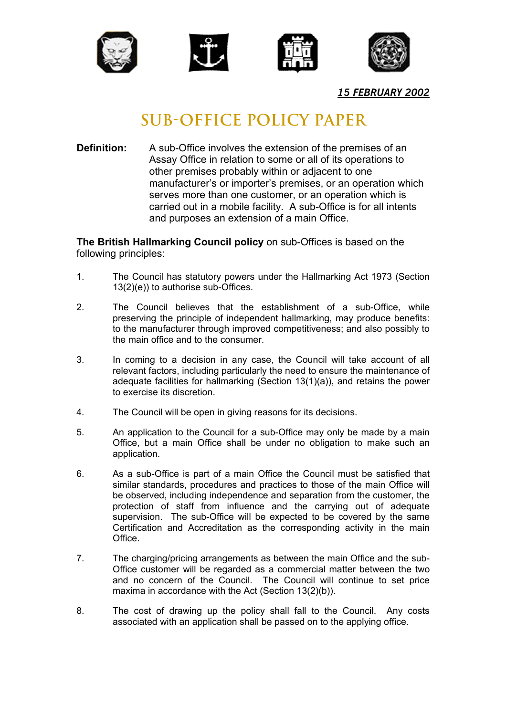







*15 FEBRUARY 2002*

## **SUB-OFFICE POLICY PAPER**

**Definition:** A sub-Office involves the extension of the premises of an Assay Office in relation to some or all of its operations to other premises probably within or adjacent to one manufacturer's or importer's premises, or an operation which serves more than one customer, or an operation which is carried out in a mobile facility. A sub-Office is for all intents and purposes an extension of a main Office.

**The British Hallmarking Council policy** on sub-Offices is based on the following principles:

- 1. The Council has statutory powers under the Hallmarking Act 1973 (Section 13(2)(e)) to authorise sub-Offices.
- 2. The Council believes that the establishment of a sub-Office, while preserving the principle of independent hallmarking, may produce benefits: to the manufacturer through improved competitiveness; and also possibly to the main office and to the consumer.
- 3. In coming to a decision in any case, the Council will take account of all relevant factors, including particularly the need to ensure the maintenance of adequate facilities for hallmarking (Section 13(1)(a)), and retains the power to exercise its discretion.
- 4. The Council will be open in giving reasons for its decisions.
- 5. An application to the Council for a sub-Office may only be made by a main Office, but a main Office shall be under no obligation to make such an application.
- 6. As a sub-Office is part of a main Office the Council must be satisfied that similar standards, procedures and practices to those of the main Office will be observed, including independence and separation from the customer, the protection of staff from influence and the carrying out of adequate supervision. The sub-Office will be expected to be covered by the same Certification and Accreditation as the corresponding activity in the main Office.
- 7. The charging/pricing arrangements as between the main Office and the sub-Office customer will be regarded as a commercial matter between the two and no concern of the Council. The Council will continue to set price maxima in accordance with the Act (Section 13(2)(b)).
- 8. The cost of drawing up the policy shall fall to the Council. Any costs associated with an application shall be passed on to the applying office.